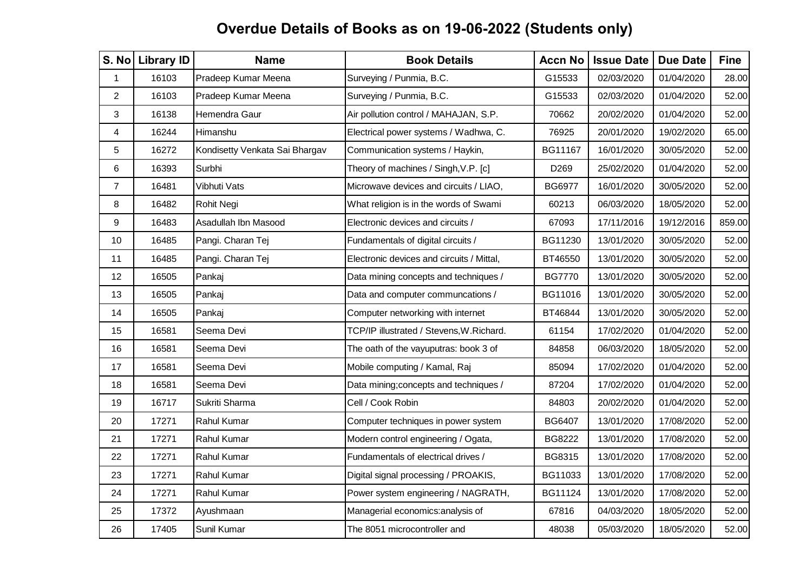| S. No          | <b>Library ID</b> | <b>Name</b>                    | <b>Book Details</b>                       | <b>Accn No</b>   | <b>Issue Date</b> | <b>Due Date</b> | <b>Fine</b> |
|----------------|-------------------|--------------------------------|-------------------------------------------|------------------|-------------------|-----------------|-------------|
| 1              | 16103             | Pradeep Kumar Meena            | Surveying / Punmia, B.C.                  | G15533           | 02/03/2020        | 01/04/2020      | 28.00       |
| $\overline{2}$ | 16103             | Pradeep Kumar Meena            | Surveying / Punmia, B.C.                  | G15533           | 02/03/2020        | 01/04/2020      | 52.00       |
| 3              | 16138             | Hemendra Gaur                  | Air pollution control / MAHAJAN, S.P.     | 70662            | 20/02/2020        | 01/04/2020      | 52.00       |
| 4              | 16244             | Himanshu                       | Electrical power systems / Wadhwa, C.     | 76925            | 20/01/2020        | 19/02/2020      | 65.00       |
| 5              | 16272             | Kondisetty Venkata Sai Bhargav | Communication systems / Haykin,           | BG11167          | 16/01/2020        | 30/05/2020      | 52.00       |
| 6              | 16393             | Surbhi                         | Theory of machines / Singh, V.P. [c]      | D <sub>269</sub> | 25/02/2020        | 01/04/2020      | 52.00       |
| $\overline{7}$ | 16481             | Vibhuti Vats                   | Microwave devices and circuits / LIAO,    | <b>BG6977</b>    | 16/01/2020        | 30/05/2020      | 52.00       |
| 8              | 16482             | Rohit Negi                     | What religion is in the words of Swami    | 60213            | 06/03/2020        | 18/05/2020      | 52.00       |
| 9              | 16483             | Asadullah Ibn Masood           | Electronic devices and circuits /         | 67093            | 17/11/2016        | 19/12/2016      | 859.00      |
| 10             | 16485             | Pangi. Charan Tej              | Fundamentals of digital circuits /        | BG11230          | 13/01/2020        | 30/05/2020      | 52.00       |
| 11             | 16485             | Pangi. Charan Tej              | Electronic devices and circuits / Mittal, | BT46550          | 13/01/2020        | 30/05/2020      | 52.00       |
| 12             | 16505             | Pankaj                         | Data mining concepts and techniques /     | <b>BG7770</b>    | 13/01/2020        | 30/05/2020      | 52.00       |
| 13             | 16505             | Pankaj                         | Data and computer communcations /         | BG11016          | 13/01/2020        | 30/05/2020      | 52.00       |
| 14             | 16505             | Pankaj                         | Computer networking with internet         | BT46844          | 13/01/2020        | 30/05/2020      | 52.00       |
| 15             | 16581             | Seema Devi                     | TCP/IP illustrated / Stevens, W. Richard. | 61154            | 17/02/2020        | 01/04/2020      | 52.00       |
| 16             | 16581             | Seema Devi                     | The oath of the vayuputras: book 3 of     | 84858            | 06/03/2020        | 18/05/2020      | 52.00       |
| 17             | 16581             | Seema Devi                     | Mobile computing / Kamal, Raj             | 85094            | 17/02/2020        | 01/04/2020      | 52.00       |
| 18             | 16581             | Seema Devi                     | Data mining; concepts and techniques /    | 87204            | 17/02/2020        | 01/04/2020      | 52.00       |
| 19             | 16717             | Sukriti Sharma                 | Cell / Cook Robin                         | 84803            | 20/02/2020        | 01/04/2020      | 52.00       |
| 20             | 17271             | Rahul Kumar                    | Computer techniques in power system       | BG6407           | 13/01/2020        | 17/08/2020      | 52.00       |
| 21             | 17271             | Rahul Kumar                    | Modern control engineering / Ogata,       | BG8222           | 13/01/2020        | 17/08/2020      | 52.00       |
| 22             | 17271             | Rahul Kumar                    | Fundamentals of electrical drives /       | BG8315           | 13/01/2020        | 17/08/2020      | 52.00       |
| 23             | 17271             | Rahul Kumar                    | Digital signal processing / PROAKIS,      | BG11033          | 13/01/2020        | 17/08/2020      | 52.00       |
| 24             | 17271             | Rahul Kumar                    | Power system engineering / NAGRATH,       | BG11124          | 13/01/2020        | 17/08/2020      | 52.00       |
| 25             | 17372             | Ayushmaan                      | Managerial economics: analysis of         | 67816            | 04/03/2020        | 18/05/2020      | 52.00       |
| 26             | 17405             | Sunil Kumar                    | The 8051 microcontroller and              | 48038            | 05/03/2020        | 18/05/2020      | 52.00       |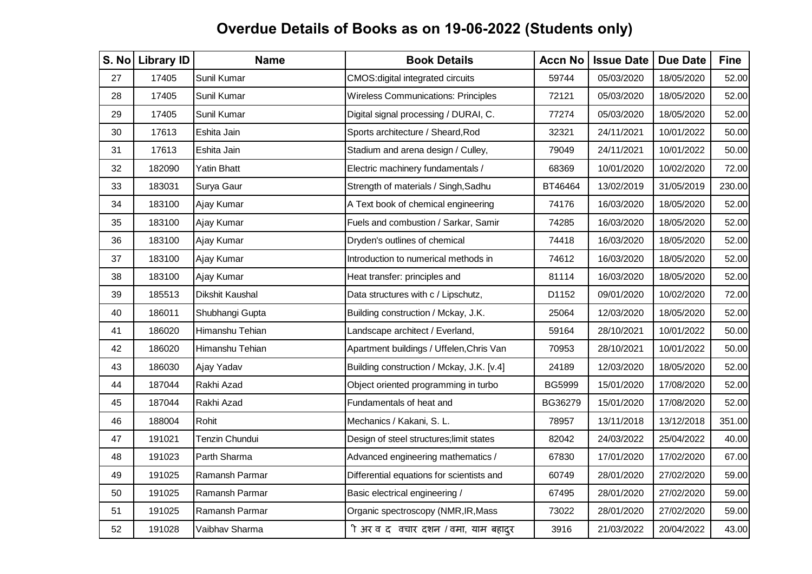| S. No | <b>Library ID</b> | <b>Name</b>     | <b>Book Details</b>                        | <b>Accn No</b> | <b>Issue Date</b> | <b>Due Date</b> | <b>Fine</b> |
|-------|-------------------|-----------------|--------------------------------------------|----------------|-------------------|-----------------|-------------|
| 27    | 17405             | Sunil Kumar     | CMOS: digital integrated circuits          | 59744          | 05/03/2020        | 18/05/2020      | 52.00       |
| 28    | 17405             | Sunil Kumar     | <b>Wireless Communications: Principles</b> | 72121          | 05/03/2020        | 18/05/2020      | 52.00       |
| 29    | 17405             | Sunil Kumar     | Digital signal processing / DURAI, C.      | 77274          | 05/03/2020        | 18/05/2020      | 52.00       |
| 30    | 17613             | Eshita Jain     | Sports architecture / Sheard, Rod          | 32321          | 24/11/2021        | 10/01/2022      | 50.00       |
| 31    | 17613             | Eshita Jain     | Stadium and arena design / Culley,         | 79049          | 24/11/2021        | 10/01/2022      | 50.00       |
| 32    | 182090            | Yatin Bhatt     | Electric machinery fundamentals /          | 68369          | 10/01/2020        | 10/02/2020      | 72.00       |
| 33    | 183031            | Surya Gaur      | Strength of materials / Singh, Sadhu       | BT46464        | 13/02/2019        | 31/05/2019      | 230.00      |
| 34    | 183100            | Ajay Kumar      | A Text book of chemical engineering        | 74176          | 16/03/2020        | 18/05/2020      | 52.00       |
| 35    | 183100            | Ajay Kumar      | Fuels and combustion / Sarkar, Samir       | 74285          | 16/03/2020        | 18/05/2020      | 52.00       |
| 36    | 183100            | Ajay Kumar      | Dryden's outlines of chemical              | 74418          | 16/03/2020        | 18/05/2020      | 52.00       |
| 37    | 183100            | Ajay Kumar      | Introduction to numerical methods in       | 74612          | 16/03/2020        | 18/05/2020      | 52.00       |
| 38    | 183100            | Ajay Kumar      | Heat transfer: principles and              | 81114          | 16/03/2020        | 18/05/2020      | 52.00       |
| 39    | 185513            | Dikshit Kaushal | Data structures with c / Lipschutz,        | D1152          | 09/01/2020        | 10/02/2020      | 72.00       |
| 40    | 186011            | Shubhangi Gupta | Building construction / Mckay, J.K.        | 25064          | 12/03/2020        | 18/05/2020      | 52.00       |
| 41    | 186020            | Himanshu Tehian | Landscape architect / Everland,            | 59164          | 28/10/2021        | 10/01/2022      | 50.00       |
| 42    | 186020            | Himanshu Tehian | Apartment buildings / Uffelen, Chris Van   | 70953          | 28/10/2021        | 10/01/2022      | 50.00       |
| 43    | 186030            | Ajay Yadav      | Building construction / Mckay, J.K. [v.4]  | 24189          | 12/03/2020        | 18/05/2020      | 52.00       |
| 44    | 187044            | Rakhi Azad      | Object oriented programming in turbo       | <b>BG5999</b>  | 15/01/2020        | 17/08/2020      | 52.00       |
| 45    | 187044            | Rakhi Azad      | Fundamentals of heat and                   | BG36279        | 15/01/2020        | 17/08/2020      | 52.00       |
| 46    | 188004            | Rohit           | Mechanics / Kakani, S. L.                  | 78957          | 13/11/2018        | 13/12/2018      | 351.00      |
| 47    | 191021            | Tenzin Chundui  | Design of steel structures; limit states   | 82042          | 24/03/2022        | 25/04/2022      | 40.00       |
| 48    | 191023            | Parth Sharma    | Advanced engineering mathematics /         | 67830          | 17/01/2020        | 17/02/2020      | 67.00       |
| 49    | 191025            | Ramansh Parmar  | Differential equations for scientists and  | 60749          | 28/01/2020        | 27/02/2020      | 59.00       |
| 50    | 191025            | Ramansh Parmar  | Basic electrical engineering /             | 67495          | 28/01/2020        | 27/02/2020      | 59.00       |
| 51    | 191025            | Ramansh Parmar  | Organic spectroscopy (NMR, IR, Mass        | 73022          | 28/01/2020        | 27/02/2020      | 59.00       |
| 52    | 191028            | Vaibhav Sharma  | ी अर व द वचार दशन / वमा, याम बहादुर        | 3916           | 21/03/2022        | 20/04/2022      | 43.00       |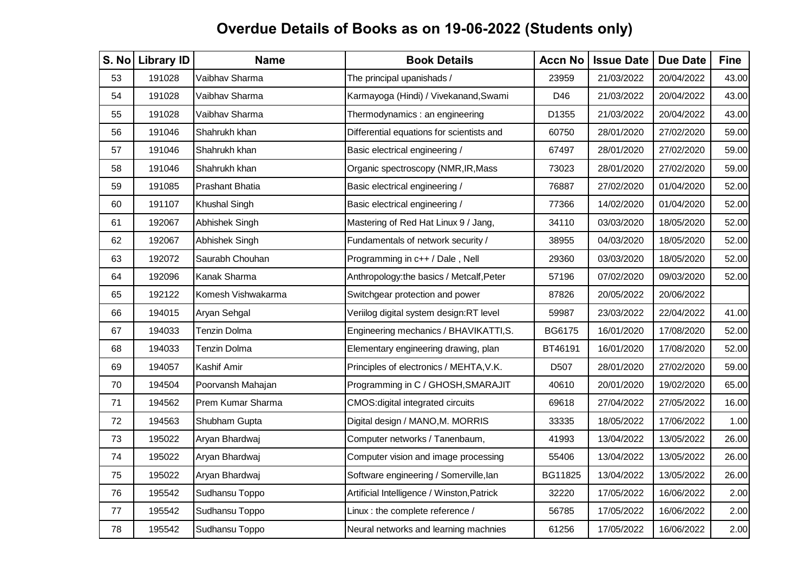| S. No | <b>Library ID</b> | <b>Name</b>            | <b>Book Details</b>                        | <b>Accn No</b> | <b>Issue Date</b> | <b>Due Date</b> | <b>Fine</b> |
|-------|-------------------|------------------------|--------------------------------------------|----------------|-------------------|-----------------|-------------|
| 53    | 191028            | Vaibhav Sharma         | The principal upanishads /                 | 23959          | 21/03/2022        | 20/04/2022      | 43.00       |
| 54    | 191028            | Vaibhav Sharma         | Karmayoga (Hindi) / Vivekanand, Swami      | D46            | 21/03/2022        | 20/04/2022      | 43.00       |
| 55    | 191028            | Vaibhav Sharma         | Thermodynamics: an engineering             | D1355          | 21/03/2022        | 20/04/2022      | 43.00       |
| 56    | 191046            | Shahrukh khan          | Differential equations for scientists and  | 60750          | 28/01/2020        | 27/02/2020      | 59.00       |
| 57    | 191046            | Shahrukh khan          | Basic electrical engineering /             | 67497          | 28/01/2020        | 27/02/2020      | 59.00       |
| 58    | 191046            | Shahrukh khan          | Organic spectroscopy (NMR, IR, Mass        | 73023          | 28/01/2020        | 27/02/2020      | 59.00       |
| 59    | 191085            | <b>Prashant Bhatia</b> | Basic electrical engineering /             | 76887          | 27/02/2020        | 01/04/2020      | 52.00       |
| 60    | 191107            | <b>Khushal Singh</b>   | Basic electrical engineering /             | 77366          | 14/02/2020        | 01/04/2020      | 52.00       |
| 61    | 192067            | Abhishek Singh         | Mastering of Red Hat Linux 9 / Jang,       | 34110          | 03/03/2020        | 18/05/2020      | 52.00       |
| 62    | 192067            | Abhishek Singh         | Fundamentals of network security /         | 38955          | 04/03/2020        | 18/05/2020      | 52.00       |
| 63    | 192072            | Saurabh Chouhan        | Programming in c++ / Dale, Nell            | 29360          | 03/03/2020        | 18/05/2020      | 52.00       |
| 64    | 192096            | Kanak Sharma           | Anthropology:the basics / Metcalf, Peter   | 57196          | 07/02/2020        | 09/03/2020      | 52.00       |
| 65    | 192122            | Komesh Vishwakarma     | Switchgear protection and power            | 87826          | 20/05/2022        | 20/06/2022      |             |
| 66    | 194015            | Aryan Sehgal           | Veriilog digital system design:RT level    | 59987          | 23/03/2022        | 22/04/2022      | 41.00       |
| 67    | 194033            | <b>Tenzin Dolma</b>    | Engineering mechanics / BHAVIKATTI, S.     | BG6175         | 16/01/2020        | 17/08/2020      | 52.00       |
| 68    | 194033            | <b>Tenzin Dolma</b>    | Elementary engineering drawing, plan       | BT46191        | 16/01/2020        | 17/08/2020      | 52.00       |
| 69    | 194057            | Kashif Amir            | Principles of electronics / MEHTA, V.K.    | D507           | 28/01/2020        | 27/02/2020      | 59.00       |
| 70    | 194504            | Poorvansh Mahajan      | Programming in C / GHOSH, SMARAJIT         | 40610          | 20/01/2020        | 19/02/2020      | 65.00       |
| 71    | 194562            | Prem Kumar Sharma      | <b>CMOS:digital integrated circuits</b>    | 69618          | 27/04/2022        | 27/05/2022      | 16.00       |
| 72    | 194563            | Shubham Gupta          | Digital design / MANO, M. MORRIS           | 33335          | 18/05/2022        | 17/06/2022      | 1.00        |
| 73    | 195022            | Aryan Bhardwaj         | Computer networks / Tanenbaum,             | 41993          | 13/04/2022        | 13/05/2022      | 26.00       |
| 74    | 195022            | Aryan Bhardwaj         | Computer vision and image processing       | 55406          | 13/04/2022        | 13/05/2022      | 26.00       |
| 75    | 195022            | Aryan Bhardwaj         | Software engineering / Somerville, lan     | BG11825        | 13/04/2022        | 13/05/2022      | 26.00       |
| 76    | 195542            | Sudhansu Toppo         | Artificial Intelligence / Winston, Patrick | 32220          | 17/05/2022        | 16/06/2022      | 2.00        |
| 77    | 195542            | Sudhansu Toppo         | Linux: the complete reference /            | 56785          | 17/05/2022        | 16/06/2022      | 2.00        |
| 78    | 195542            | Sudhansu Toppo         | Neural networks and learning machnies      | 61256          | 17/05/2022        | 16/06/2022      | 2.00        |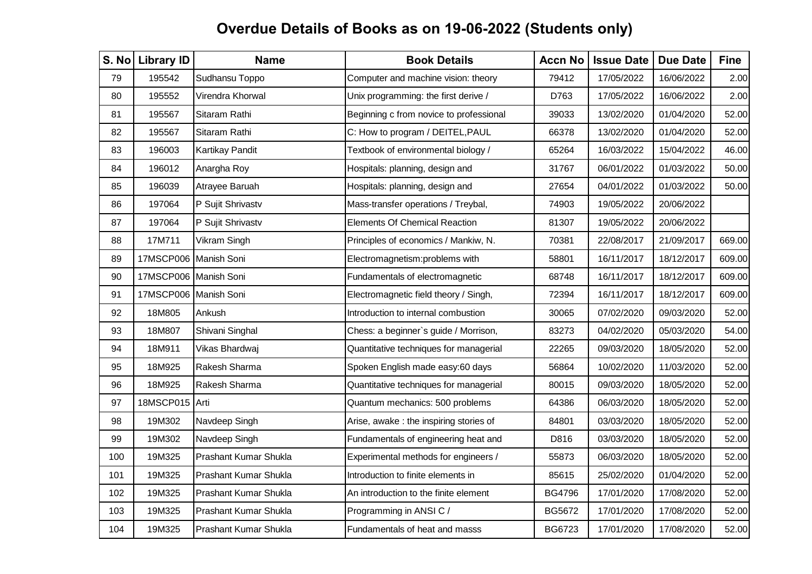| S. No | <b>Library ID</b>     | <b>Name</b>           | <b>Book Details</b>                     | <b>Accn No</b> | <b>Issue Date</b> | <b>Due Date</b> | <b>Fine</b> |
|-------|-----------------------|-----------------------|-----------------------------------------|----------------|-------------------|-----------------|-------------|
| 79    | 195542                | Sudhansu Toppo        | Computer and machine vision: theory     | 79412          | 17/05/2022        | 16/06/2022      | 2.00        |
| 80    | 195552                | Virendra Khorwal      | Unix programming: the first derive /    | D763           | 17/05/2022        | 16/06/2022      | 2.00        |
| 81    | 195567                | Sitaram Rathi         | Beginning c from novice to professional | 39033          | 13/02/2020        | 01/04/2020      | 52.00       |
| 82    | 195567                | Sitaram Rathi         | C: How to program / DEITEL, PAUL        | 66378          | 13/02/2020        | 01/04/2020      | 52.00       |
| 83    | 196003                | Kartikay Pandit       | Textbook of environmental biology /     | 65264          | 16/03/2022        | 15/04/2022      | 46.00       |
| 84    | 196012                | Anargha Roy           | Hospitals: planning, design and         | 31767          | 06/01/2022        | 01/03/2022      | 50.00       |
| 85    | 196039                | Atrayee Baruah        | Hospitals: planning, design and         | 27654          | 04/01/2022        | 01/03/2022      | 50.00       |
| 86    | 197064                | P Sujit Shrivastv     | Mass-transfer operations / Treybal,     | 74903          | 19/05/2022        | 20/06/2022      |             |
| 87    | 197064                | P Sujit Shrivastv     | <b>Elements Of Chemical Reaction</b>    | 81307          | 19/05/2022        | 20/06/2022      |             |
| 88    | 17M711                | Vikram Singh          | Principles of economics / Mankiw, N.    | 70381          | 22/08/2017        | 21/09/2017      | 669.00      |
| 89    | 17MSCP006 Manish Soni |                       | Electromagnetism:problems with          | 58801          | 16/11/2017        | 18/12/2017      | 609.00      |
| 90    | 17MSCP006 Manish Soni |                       | Fundamentals of electromagnetic         | 68748          | 16/11/2017        | 18/12/2017      | 609.00      |
| 91    | 17MSCP006 Manish Soni |                       | Electromagnetic field theory / Singh,   | 72394          | 16/11/2017        | 18/12/2017      | 609.00      |
| 92    | 18M805                | Ankush                | Introduction to internal combustion     | 30065          | 07/02/2020        | 09/03/2020      | 52.00       |
| 93    | 18M807                | Shivani Singhal       | Chess: a beginner's guide / Morrison,   | 83273          | 04/02/2020        | 05/03/2020      | 54.00       |
| 94    | 18M911                | Vikas Bhardwaj        | Quantitative techniques for managerial  | 22265          | 09/03/2020        | 18/05/2020      | 52.00       |
| 95    | 18M925                | Rakesh Sharma         | Spoken English made easy:60 days        | 56864          | 10/02/2020        | 11/03/2020      | 52.00       |
| 96    | 18M925                | Rakesh Sharma         | Quantitative techniques for managerial  | 80015          | 09/03/2020        | 18/05/2020      | 52.00       |
| 97    | 18MSCP015 Arti        |                       | Quantum mechanics: 500 problems         | 64386          | 06/03/2020        | 18/05/2020      | 52.00       |
| 98    | 19M302                | Navdeep Singh         | Arise, awake: the inspiring stories of  | 84801          | 03/03/2020        | 18/05/2020      | 52.00       |
| 99    | 19M302                | Navdeep Singh         | Fundamentals of engineering heat and    | D816           | 03/03/2020        | 18/05/2020      | 52.00       |
| 100   | 19M325                | Prashant Kumar Shukla | Experimental methods for engineers /    | 55873          | 06/03/2020        | 18/05/2020      | 52.00       |
| 101   | 19M325                | Prashant Kumar Shukla | Introduction to finite elements in      | 85615          | 25/02/2020        | 01/04/2020      | 52.00       |
| 102   | 19M325                | Prashant Kumar Shukla | An introduction to the finite element   | <b>BG4796</b>  | 17/01/2020        | 17/08/2020      | 52.00       |
| 103   | 19M325                | Prashant Kumar Shukla | Programming in ANSI C /                 | BG5672         | 17/01/2020        | 17/08/2020      | 52.00       |
| 104   | 19M325                | Prashant Kumar Shukla | Fundamentals of heat and masss          | BG6723         | 17/01/2020        | 17/08/2020      | 52.00       |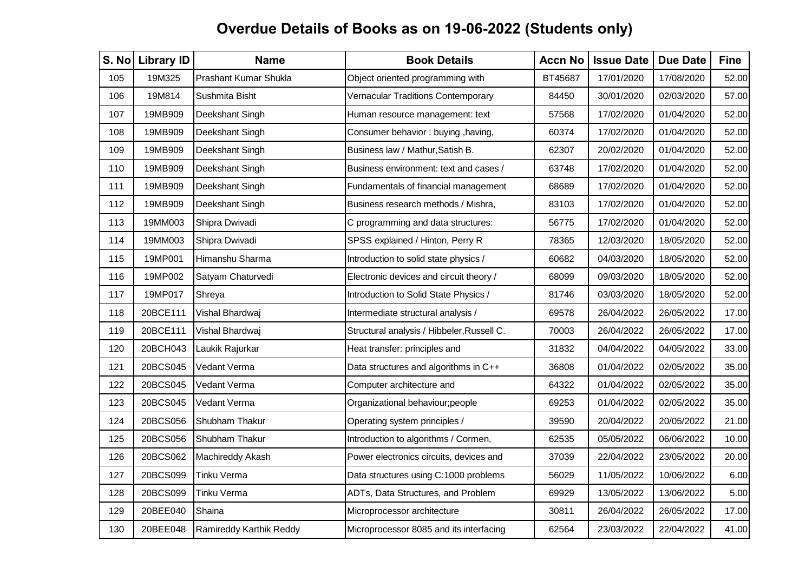| S. No | <b>Library ID</b> | <b>Name</b>             | <b>Book Details</b>                        | <b>Accn No</b> | <b>Issue Date</b> | <b>Due Date</b> | <b>Fine</b> |
|-------|-------------------|-------------------------|--------------------------------------------|----------------|-------------------|-----------------|-------------|
| 105   | 19M325            | Prashant Kumar Shukla   | Object oriented programming with           | BT45687        | 17/01/2020        | 17/08/2020      | 52.00       |
| 106   | 19M814            | Sushmita Bisht          | Vernacular Traditions Contemporary         | 84450          | 30/01/2020        | 02/03/2020      | 57.00       |
| 107   | 19MB909           | Deekshant Singh         | Human resource management: text            | 57568          | 17/02/2020        | 01/04/2020      | 52.00       |
| 108   | 19MB909           | Deekshant Singh         | Consumer behavior: buying, having,         | 60374          | 17/02/2020        | 01/04/2020      | 52.00       |
| 109   | 19MB909           | Deekshant Singh         | Business law / Mathur, Satish B.           | 62307          | 20/02/2020        | 01/04/2020      | 52.00       |
| 110   | 19MB909           | Deekshant Singh         | Business environment: text and cases /     | 63748          | 17/02/2020        | 01/04/2020      | 52.00       |
| 111   | 19MB909           | Deekshant Singh         | Fundamentals of financial management       | 68689          | 17/02/2020        | 01/04/2020      | 52.00       |
| 112   | 19MB909           | Deekshant Singh         | Business research methods / Mishra,        | 83103          | 17/02/2020        | 01/04/2020      | 52.00       |
| 113   | 19MM003           | Shipra Dwivadi          | C programming and data structures:         | 56775          | 17/02/2020        | 01/04/2020      | 52.00       |
| 114   | 19MM003           | Shipra Dwivadi          | SPSS explained / Hinton, Perry R           | 78365          | 12/03/2020        | 18/05/2020      | 52.00       |
| 115   | 19MP001           | Himanshu Sharma         | Introduction to solid state physics /      | 60682          | 04/03/2020        | 18/05/2020      | 52.00       |
| 116   | 19MP002           | Satyam Chaturvedi       | Electronic devices and circuit theory /    | 68099          | 09/03/2020        | 18/05/2020      | 52.00       |
| 117   | 19MP017           | Shreya                  | Introduction to Solid State Physics /      | 81746          | 03/03/2020        | 18/05/2020      | 52.00       |
| 118   | 20BCE111          | Vishal Bhardwaj         | Intermediate structural analysis /         | 69578          | 26/04/2022        | 26/05/2022      | 17.00       |
| 119   | 20BCE111          | Vishal Bhardwaj         | Structural analysis / Hibbeler, Russell C. | 70003          | 26/04/2022        | 26/05/2022      | 17.00       |
| 120   | 20BCH043          | Laukik Rajurkar         | Heat transfer: principles and              | 31832          | 04/04/2022        | 04/05/2022      | 33.00       |
| 121   | 20BCS045          | Vedant Verma            | Data structures and algorithms in C++      | 36808          | 01/04/2022        | 02/05/2022      | 35.00       |
| 122   | 20BCS045          | Vedant Verma            | Computer architecture and                  | 64322          | 01/04/2022        | 02/05/2022      | 35.00       |
| 123   | 20BCS045          | Vedant Verma            | Organizational behaviour; people           | 69253          | 01/04/2022        | 02/05/2022      | 35.00       |
| 124   | 20BCS056          | Shubham Thakur          | Operating system principles /              | 39590          | 20/04/2022        | 20/05/2022      | 21.00       |
| 125   | 20BCS056          | Shubham Thakur          | Introduction to algorithms / Cormen,       | 62535          | 05/05/2022        | 06/06/2022      | 10.00       |
| 126   | 20BCS062          | Machireddy Akash        | Power electronics circuits, devices and    | 37039          | 22/04/2022        | 23/05/2022      | 20.00       |
| 127   | 20BCS099          | Tinku Verma             | Data structures using C:1000 problems      | 56029          | 11/05/2022        | 10/06/2022      | 6.00        |
| 128   | 20BCS099          | Tinku Verma             | ADTs, Data Structures, and Problem         | 69929          | 13/05/2022        | 13/06/2022      | 5.00        |
| 129   | 20BEE040          | Shaina                  | Microprocessor architecture                | 30811          | 26/04/2022        | 26/05/2022      | 17.00       |
| 130   | 20BEE048          | Ramireddy Karthik Reddy | Microprocessor 8085 and its interfacing    | 62564          | 23/03/2022        | 22/04/2022      | 41.00       |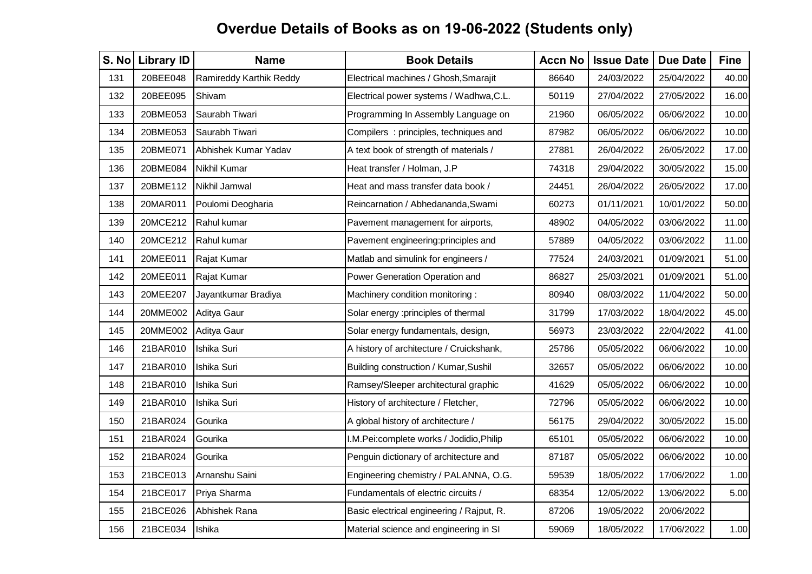| S. No | <b>Library ID</b> | <b>Name</b>             | <b>Book Details</b>                       | <b>Accn No</b> | <b>Issue Date</b> | <b>Due Date</b> | <b>Fine</b> |
|-------|-------------------|-------------------------|-------------------------------------------|----------------|-------------------|-----------------|-------------|
| 131   | 20BEE048          | Ramireddy Karthik Reddy | Electrical machines / Ghosh, Smarajit     | 86640          | 24/03/2022        | 25/04/2022      | 40.00       |
| 132   | 20BEE095          | Shivam                  | Electrical power systems / Wadhwa, C.L.   | 50119          | 27/04/2022        | 27/05/2022      | 16.00       |
| 133   | 20BME053          | Saurabh Tiwari          | Programming In Assembly Language on       | 21960          | 06/05/2022        | 06/06/2022      | 10.00       |
| 134   | 20BME053          | Saurabh Tiwari          | Compilers : principles, techniques and    | 87982          | 06/05/2022        | 06/06/2022      | 10.00       |
| 135   | 20BME071          | Abhishek Kumar Yadav    | A text book of strength of materials /    | 27881          | 26/04/2022        | 26/05/2022      | 17.00       |
| 136   | 20BME084          | Nikhil Kumar            | Heat transfer / Holman, J.P               | 74318          | 29/04/2022        | 30/05/2022      | 15.00       |
| 137   | 20BME112          | Nikhil Jamwal           | Heat and mass transfer data book /        | 24451          | 26/04/2022        | 26/05/2022      | 17.00       |
| 138   | 20MAR011          | Poulomi Deogharia       | Reincarnation / Abhedananda, Swami        | 60273          | 01/11/2021        | 10/01/2022      | 50.00       |
| 139   | 20MCE212          | Rahul kumar             | Pavement management for airports,         | 48902          | 04/05/2022        | 03/06/2022      | 11.00       |
| 140   | 20MCE212          | Rahul kumar             | Pavement engineering:principles and       | 57889          | 04/05/2022        | 03/06/2022      | 11.00       |
| 141   | 20MEE011          | Rajat Kumar             | Matlab and simulink for engineers /       | 77524          | 24/03/2021        | 01/09/2021      | 51.00       |
| 142   | 20MEE011          | Rajat Kumar             | Power Generation Operation and            | 86827          | 25/03/2021        | 01/09/2021      | 51.00       |
| 143   | 20MEE207          | Jayantkumar Bradiya     | Machinery condition monitoring:           | 80940          | 08/03/2022        | 11/04/2022      | 50.00       |
| 144   | 20MME002          | Aditya Gaur             | Solar energy :principles of thermal       | 31799          | 17/03/2022        | 18/04/2022      | 45.00       |
| 145   | 20MME002          | Aditya Gaur             | Solar energy fundamentals, design,        | 56973          | 23/03/2022        | 22/04/2022      | 41.00       |
| 146   | 21BAR010          | Ishika Suri             | A history of architecture / Cruickshank,  | 25786          | 05/05/2022        | 06/06/2022      | 10.00       |
| 147   | 21BAR010          | Ishika Suri             | Building construction / Kumar, Sushil     | 32657          | 05/05/2022        | 06/06/2022      | 10.00       |
| 148   | 21BAR010          | Ishika Suri             | Ramsey/Sleeper architectural graphic      | 41629          | 05/05/2022        | 06/06/2022      | 10.00       |
| 149   | 21BAR010          | Ishika Suri             | History of architecture / Fletcher,       | 72796          | 05/05/2022        | 06/06/2022      | 10.00       |
| 150   | 21BAR024          | Gourika                 | A global history of architecture /        | 56175          | 29/04/2022        | 30/05/2022      | 15.00       |
| 151   | 21BAR024          | Gourika                 | I.M.Pei:complete works / Jodidio, Philip  | 65101          | 05/05/2022        | 06/06/2022      | 10.00       |
| 152   | 21BAR024          | Gourika                 | Penguin dictionary of architecture and    | 87187          | 05/05/2022        | 06/06/2022      | 10.00       |
| 153   | 21BCE013          | Arnanshu Saini          | Engineering chemistry / PALANNA, O.G.     | 59539          | 18/05/2022        | 17/06/2022      | 1.00        |
| 154   | 21BCE017          | Priya Sharma            | Fundamentals of electric circuits /       | 68354          | 12/05/2022        | 13/06/2022      | 5.00        |
| 155   | 21BCE026          | Abhishek Rana           | Basic electrical engineering / Rajput, R. | 87206          | 19/05/2022        | 20/06/2022      |             |
| 156   | 21BCE034          | Ishika                  | Material science and engineering in SI    | 59069          | 18/05/2022        | 17/06/2022      | 1.00        |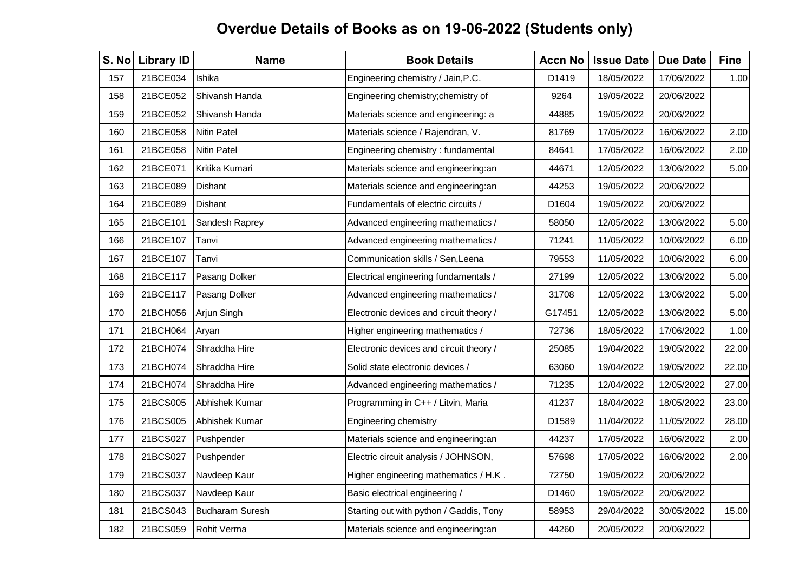| S. No | <b>Library ID</b> | <b>Name</b>            | <b>Book Details</b>                     | <b>Accn No</b> | <b>Issue Date</b> | <b>Due Date</b> | <b>Fine</b> |
|-------|-------------------|------------------------|-----------------------------------------|----------------|-------------------|-----------------|-------------|
| 157   | 21BCE034          | Ishika                 | Engineering chemistry / Jain, P.C.      | D1419          | 18/05/2022        | 17/06/2022      | 1.00        |
| 158   | 21BCE052          | Shivansh Handa         | Engineering chemistry; chemistry of     | 9264           | 19/05/2022        | 20/06/2022      |             |
| 159   | 21BCE052          | Shivansh Handa         | Materials science and engineering: a    | 44885          | 19/05/2022        | 20/06/2022      |             |
| 160   | 21BCE058          | <b>Nitin Patel</b>     | Materials science / Rajendran, V.       | 81769          | 17/05/2022        | 16/06/2022      | 2.00        |
| 161   | 21BCE058          | <b>Nitin Patel</b>     | Engineering chemistry: fundamental      | 84641          | 17/05/2022        | 16/06/2022      | 2.00        |
| 162   | 21BCE071          | Kritika Kumari         | Materials science and engineering:an    | 44671          | 12/05/2022        | 13/06/2022      | 5.00        |
| 163   | 21BCE089          | <b>Dishant</b>         | Materials science and engineering:an    | 44253          | 19/05/2022        | 20/06/2022      |             |
| 164   | 21BCE089          | Dishant                | Fundamentals of electric circuits /     | D1604          | 19/05/2022        | 20/06/2022      |             |
| 165   | 21BCE101          | Sandesh Raprey         | Advanced engineering mathematics /      | 58050          | 12/05/2022        | 13/06/2022      | 5.00        |
| 166   | 21BCE107          | Tanvi                  | Advanced engineering mathematics /      | 71241          | 11/05/2022        | 10/06/2022      | 6.00        |
| 167   | 21BCE107          | Tanvi                  | Communication skills / Sen, Leena       | 79553          | 11/05/2022        | 10/06/2022      | 6.00        |
| 168   | 21BCE117          | Pasang Dolker          | Electrical engineering fundamentals /   | 27199          | 12/05/2022        | 13/06/2022      | 5.00        |
| 169   | 21BCE117          | Pasang Dolker          | Advanced engineering mathematics /      | 31708          | 12/05/2022        | 13/06/2022      | 5.00        |
| 170   | 21BCH056          | Arjun Singh            | Electronic devices and circuit theory / | G17451         | 12/05/2022        | 13/06/2022      | 5.00        |
| 171   | 21BCH064          | Aryan                  | Higher engineering mathematics /        | 72736          | 18/05/2022        | 17/06/2022      | 1.00        |
| 172   | 21BCH074          | Shraddha Hire          | Electronic devices and circuit theory / | 25085          | 19/04/2022        | 19/05/2022      | 22.00       |
| 173   | 21BCH074          | Shraddha Hire          | Solid state electronic devices /        | 63060          | 19/04/2022        | 19/05/2022      | 22.00       |
| 174   | 21BCH074          | Shraddha Hire          | Advanced engineering mathematics /      | 71235          | 12/04/2022        | 12/05/2022      | 27.00       |
| 175   | 21BCS005          | Abhishek Kumar         | Programming in C++ / Litvin, Maria      | 41237          | 18/04/2022        | 18/05/2022      | 23.00       |
| 176   | 21BCS005          | Abhishek Kumar         | Engineering chemistry                   | D1589          | 11/04/2022        | 11/05/2022      | 28.00       |
| 177   | 21BCS027          | Pushpender             | Materials science and engineering:an    | 44237          | 17/05/2022        | 16/06/2022      | 2.00        |
| 178   | 21BCS027          | Pushpender             | Electric circuit analysis / JOHNSON,    | 57698          | 17/05/2022        | 16/06/2022      | 2.00        |
| 179   | 21BCS037          | Navdeep Kaur           | Higher engineering mathematics / H.K.   | 72750          | 19/05/2022        | 20/06/2022      |             |
| 180   | 21BCS037          | Navdeep Kaur           | Basic electrical engineering /          | D1460          | 19/05/2022        | 20/06/2022      |             |
| 181   | 21BCS043          | <b>Budharam Suresh</b> | Starting out with python / Gaddis, Tony | 58953          | 29/04/2022        | 30/05/2022      | 15.00       |
| 182   | 21BCS059          | Rohit Verma            | Materials science and engineering:an    | 44260          | 20/05/2022        | 20/06/2022      |             |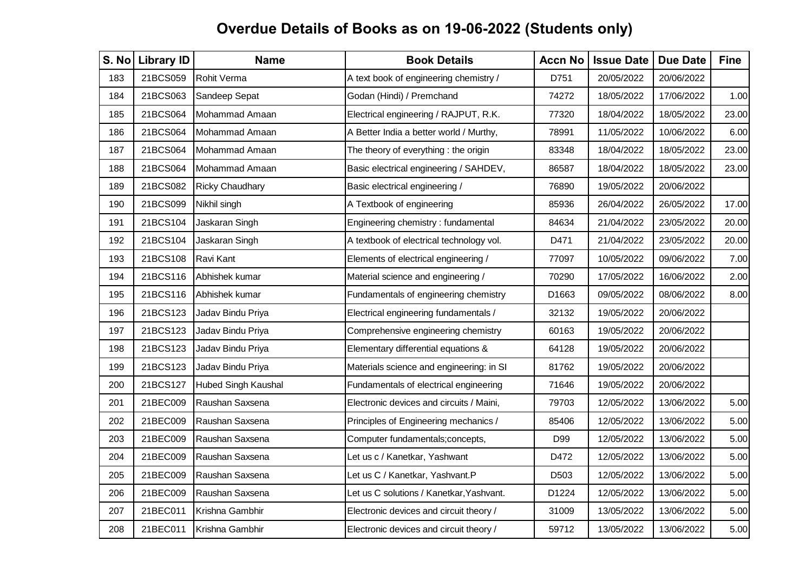| S. No | <b>Library ID</b> | <b>Name</b>                | <b>Book Details</b>                      | <b>Accn No</b> | <b>Issue Date</b> | <b>Due Date</b> | <b>Fine</b> |
|-------|-------------------|----------------------------|------------------------------------------|----------------|-------------------|-----------------|-------------|
| 183   | 21BCS059          | <b>Rohit Verma</b>         | A text book of engineering chemistry /   | D751           | 20/05/2022        | 20/06/2022      |             |
| 184   | 21BCS063          | Sandeep Sepat              | Godan (Hindi) / Premchand                | 74272          | 18/05/2022        | 17/06/2022      | 1.00        |
| 185   | 21BCS064          | Mohammad Amaan             | Electrical engineering / RAJPUT, R.K.    | 77320          | 18/04/2022        | 18/05/2022      | 23.00       |
| 186   | 21BCS064          | Mohammad Amaan             | A Better India a better world / Murthy,  | 78991          | 11/05/2022        | 10/06/2022      | 6.00        |
| 187   | 21BCS064          | Mohammad Amaan             | The theory of everything : the origin    | 83348          | 18/04/2022        | 18/05/2022      | 23.00       |
| 188   | 21BCS064          | Mohammad Amaan             | Basic electrical engineering / SAHDEV,   | 86587          | 18/04/2022        | 18/05/2022      | 23.00       |
| 189   | 21BCS082          | <b>Ricky Chaudhary</b>     | Basic electrical engineering /           | 76890          | 19/05/2022        | 20/06/2022      |             |
| 190   | 21BCS099          | Nikhil singh               | A Textbook of engineering                | 85936          | 26/04/2022        | 26/05/2022      | 17.00       |
| 191   | 21BCS104          | Jaskaran Singh             | Engineering chemistry : fundamental      | 84634          | 21/04/2022        | 23/05/2022      | 20.00       |
| 192   | 21BCS104          | Jaskaran Singh             | A textbook of electrical technology vol. | D471           | 21/04/2022        | 23/05/2022      | 20.00       |
| 193   | 21BCS108          | Ravi Kant                  | Elements of electrical engineering /     | 77097          | 10/05/2022        | 09/06/2022      | 7.00        |
| 194   | 21BCS116          | Abhishek kumar             | Material science and engineering /       | 70290          | 17/05/2022        | 16/06/2022      | 2.00        |
| 195   | 21BCS116          | Abhishek kumar             | Fundamentals of engineering chemistry    | D1663          | 09/05/2022        | 08/06/2022      | 8.00        |
| 196   | 21BCS123          | Jadav Bindu Priya          | Electrical engineering fundamentals /    | 32132          | 19/05/2022        | 20/06/2022      |             |
| 197   | 21BCS123          | Jadav Bindu Priya          | Comprehensive engineering chemistry      | 60163          | 19/05/2022        | 20/06/2022      |             |
| 198   | 21BCS123          | Jadav Bindu Priya          | Elementary differential equations &      | 64128          | 19/05/2022        | 20/06/2022      |             |
| 199   | 21BCS123          | Jadav Bindu Priya          | Materials science and engineering: in SI | 81762          | 19/05/2022        | 20/06/2022      |             |
| 200   | 21BCS127          | <b>Hubed Singh Kaushal</b> | Fundamentals of electrical engineering   | 71646          | 19/05/2022        | 20/06/2022      |             |
| 201   | 21BEC009          | Raushan Saxsena            | Electronic devices and circuits / Maini, | 79703          | 12/05/2022        | 13/06/2022      | 5.00        |
| 202   | 21BEC009          | Raushan Saxsena            | Principles of Engineering mechanics /    | 85406          | 12/05/2022        | 13/06/2022      | 5.00        |
| 203   | 21BEC009          | Raushan Saxsena            | Computer fundamentals; concepts,         | D99            | 12/05/2022        | 13/06/2022      | 5.00        |
| 204   | 21BEC009          | Raushan Saxsena            | Let us c / Kanetkar, Yashwant            | D472           | 12/05/2022        | 13/06/2022      | 5.00        |
| 205   | 21BEC009          | Raushan Saxsena            | Let us C / Kanetkar, Yashvant.P          | D503           | 12/05/2022        | 13/06/2022      | 5.00        |
| 206   | 21BEC009          | Raushan Saxsena            | Let us C solutions / Kanetkar, Yashvant. | D1224          | 12/05/2022        | 13/06/2022      | 5.00        |
| 207   | 21BEC011          | Krishna Gambhir            | Electronic devices and circuit theory /  | 31009          | 13/05/2022        | 13/06/2022      | 5.00        |
| 208   | 21BEC011          | Krishna Gambhir            | Electronic devices and circuit theory /  | 59712          | 13/05/2022        | 13/06/2022      | 5.00        |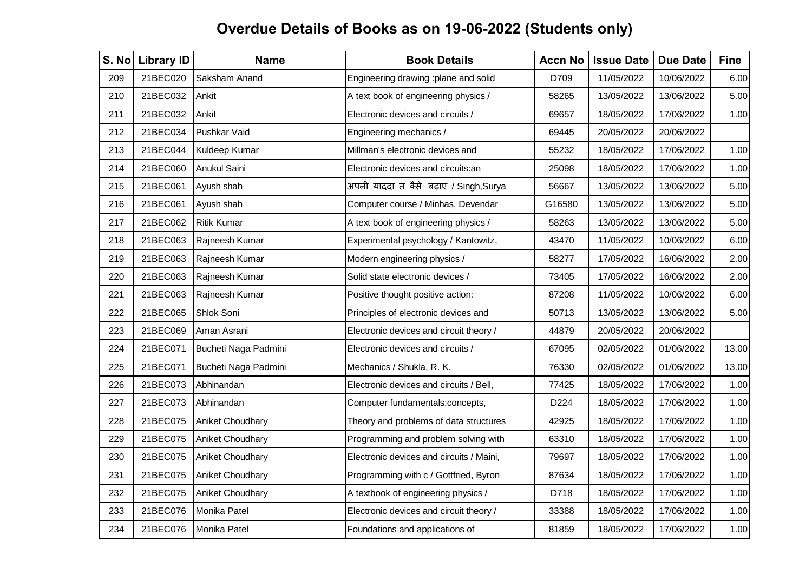| S. No | <b>Library ID</b> | <b>Name</b>             | <b>Book Details</b>                      | <b>Accn No</b> | <b>Issue Date</b> | <b>Due Date</b> | <b>Fine</b> |
|-------|-------------------|-------------------------|------------------------------------------|----------------|-------------------|-----------------|-------------|
| 209   | 21BEC020          | Saksham Anand           | Engineering drawing :plane and solid     | D709           | 11/05/2022        | 10/06/2022      | 6.00        |
| 210   | 21BEC032          | Ankit                   | A text book of engineering physics /     | 58265          | 13/05/2022        | 13/06/2022      | 5.00        |
| 211   | 21BEC032          | Ankit                   | Electronic devices and circuits /        | 69657          | 18/05/2022        | 17/06/2022      | 1.00        |
| 212   | 21BEC034          | Pushkar Vaid            | Engineering mechanics /                  | 69445          | 20/05/2022        | 20/06/2022      |             |
| 213   | 21BEC044          | Kuldeep Kumar           | Millman's electronic devices and         | 55232          | 18/05/2022        | 17/06/2022      | 1.00        |
| 214   | 21BEC060          | Anukul Saini            | Electronic devices and circuits: an      | 25098          | 18/05/2022        | 17/06/2022      | 1.00        |
| 215   | 21BEC061          | Ayush shah              | अपनी याददा त कैसे बढ़ाए / Singh,Surya    | 56667          | 13/05/2022        | 13/06/2022      | 5.00        |
| 216   | 21BEC061          | Ayush shah              | Computer course / Minhas, Devendar       | G16580         | 13/05/2022        | 13/06/2022      | 5.00        |
| 217   | 21BEC062          | <b>Ritik Kumar</b>      | A text book of engineering physics /     | 58263          | 13/05/2022        | 13/06/2022      | 5.00        |
| 218   | 21BEC063          | Rajneesh Kumar          | Experimental psychology / Kantowitz,     | 43470          | 11/05/2022        | 10/06/2022      | 6.00        |
| 219   | 21BEC063          | Rajneesh Kumar          | Modern engineering physics /             | 58277          | 17/05/2022        | 16/06/2022      | 2.00        |
| 220   | 21BEC063          | Rajneesh Kumar          | Solid state electronic devices /         | 73405          | 17/05/2022        | 16/06/2022      | 2.00        |
| 221   | 21BEC063          | Rajneesh Kumar          | Positive thought positive action:        | 87208          | 11/05/2022        | 10/06/2022      | 6.00        |
| 222   | 21BEC065          | Shlok Soni              | Principles of electronic devices and     | 50713          | 13/05/2022        | 13/06/2022      | 5.00        |
| 223   | 21BEC069          | Aman Asrani             | Electronic devices and circuit theory /  | 44879          | 20/05/2022        | 20/06/2022      |             |
| 224   | 21BEC071          | Bucheti Naga Padmini    | Electronic devices and circuits /        | 67095          | 02/05/2022        | 01/06/2022      | 13.00       |
| 225   | 21BEC071          | Bucheti Naga Padmini    | Mechanics / Shukla, R. K.                | 76330          | 02/05/2022        | 01/06/2022      | 13.00       |
| 226   | 21BEC073          | Abhinandan              | Electronic devices and circuits / Bell,  | 77425          | 18/05/2022        | 17/06/2022      | 1.00        |
| 227   | 21BEC073          | Abhinandan              | Computer fundamentals; concepts,         | D224           | 18/05/2022        | 17/06/2022      | 1.00        |
| 228   | 21BEC075          | <b>Aniket Choudhary</b> | Theory and problems of data structures   | 42925          | 18/05/2022        | 17/06/2022      | 1.00        |
| 229   | 21BEC075          | Aniket Choudhary        | Programming and problem solving with     | 63310          | 18/05/2022        | 17/06/2022      | 1.00        |
| 230   | 21BEC075          | Aniket Choudhary        | Electronic devices and circuits / Maini, | 79697          | 18/05/2022        | 17/06/2022      | 1.00        |
| 231   | 21BEC075          | Aniket Choudhary        | Programming with c / Gottfried, Byron    | 87634          | 18/05/2022        | 17/06/2022      | 1.00        |
| 232   | 21BEC075          | <b>Aniket Choudhary</b> | A textbook of engineering physics /      | D718           | 18/05/2022        | 17/06/2022      | 1.00        |
| 233   | 21BEC076          | Monika Patel            | Electronic devices and circuit theory /  | 33388          | 18/05/2022        | 17/06/2022      | 1.00        |
| 234   | 21BEC076          | Monika Patel            | Foundations and applications of          | 81859          | 18/05/2022        | 17/06/2022      | 1.00        |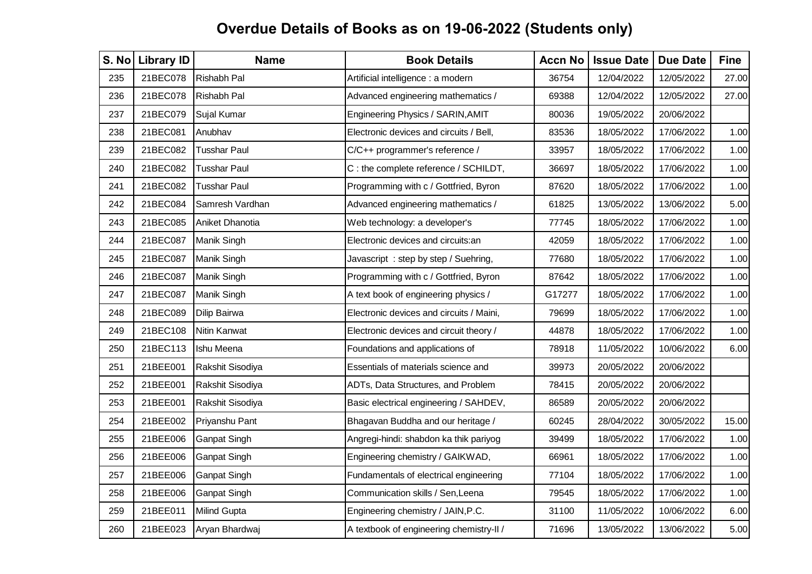| S. No | <b>Library ID</b> | <b>Name</b>         | <b>Book Details</b>                      | <b>Accn No</b> | <b>Issue Date</b> | <b>Due Date</b> | <b>Fine</b> |
|-------|-------------------|---------------------|------------------------------------------|----------------|-------------------|-----------------|-------------|
| 235   | 21BEC078          | Rishabh Pal         | Artificial intelligence : a modern       | 36754          | 12/04/2022        | 12/05/2022      | 27.00       |
| 236   | 21BEC078          | Rishabh Pal         | Advanced engineering mathematics /       | 69388          | 12/04/2022        | 12/05/2022      | 27.00       |
| 237   | 21BEC079          | Sujal Kumar         | Engineering Physics / SARIN, AMIT        | 80036          | 19/05/2022        | 20/06/2022      |             |
| 238   | 21BEC081          | Anubhav             | Electronic devices and circuits / Bell,  | 83536          | 18/05/2022        | 17/06/2022      | 1.00        |
| 239   | 21BEC082          | <b>Tusshar Paul</b> | C/C++ programmer's reference /           | 33957          | 18/05/2022        | 17/06/2022      | 1.00        |
| 240   | 21BEC082          | <b>Tusshar Paul</b> | C : the complete reference / SCHILDT,    | 36697          | 18/05/2022        | 17/06/2022      | 1.00        |
| 241   | 21BEC082          | <b>Tusshar Paul</b> | Programming with c / Gottfried, Byron    | 87620          | 18/05/2022        | 17/06/2022      | 1.00        |
| 242   | 21BEC084          | Samresh Vardhan     | Advanced engineering mathematics /       | 61825          | 13/05/2022        | 13/06/2022      | 5.00        |
| 243   | 21BEC085          | Aniket Dhanotia     | Web technology: a developer's            | 77745          | 18/05/2022        | 17/06/2022      | 1.00        |
| 244   | 21BEC087          | Manik Singh         | Electronic devices and circuits: an      | 42059          | 18/05/2022        | 17/06/2022      | 1.00        |
| 245   | 21BEC087          | Manik Singh         | Javascript: step by step / Suehring,     | 77680          | 18/05/2022        | 17/06/2022      | 1.00        |
| 246   | 21BEC087          | Manik Singh         | Programming with c / Gottfried, Byron    | 87642          | 18/05/2022        | 17/06/2022      | 1.00        |
| 247   | 21BEC087          | Manik Singh         | A text book of engineering physics /     | G17277         | 18/05/2022        | 17/06/2022      | 1.00        |
| 248   | 21BEC089          | Dilip Bairwa        | Electronic devices and circuits / Maini, | 79699          | 18/05/2022        | 17/06/2022      | 1.00        |
| 249   | 21BEC108          | Nitin Kanwat        | Electronic devices and circuit theory /  | 44878          | 18/05/2022        | 17/06/2022      | 1.00        |
| 250   | 21BEC113          | Ishu Meena          | Foundations and applications of          | 78918          | 11/05/2022        | 10/06/2022      | 6.00        |
| 251   | 21BEE001          | Rakshit Sisodiya    | Essentials of materials science and      | 39973          | 20/05/2022        | 20/06/2022      |             |
| 252   | 21BEE001          | Rakshit Sisodiya    | ADTs, Data Structures, and Problem       | 78415          | 20/05/2022        | 20/06/2022      |             |
| 253   | 21BEE001          | Rakshit Sisodiya    | Basic electrical engineering / SAHDEV,   | 86589          | 20/05/2022        | 20/06/2022      |             |
| 254   | 21BEE002          | Priyanshu Pant      | Bhagavan Buddha and our heritage /       | 60245          | 28/04/2022        | 30/05/2022      | 15.00       |
| 255   | 21BEE006          | Ganpat Singh        | Angregi-hindi: shabdon ka thik pariyog   | 39499          | 18/05/2022        | 17/06/2022      | 1.00        |
| 256   | 21BEE006          | Ganpat Singh        | Engineering chemistry / GAIKWAD,         | 66961          | 18/05/2022        | 17/06/2022      | 1.00        |
| 257   | 21BEE006          | Ganpat Singh        | Fundamentals of electrical engineering   | 77104          | 18/05/2022        | 17/06/2022      | 1.00        |
| 258   | 21BEE006          | Ganpat Singh        | Communication skills / Sen, Leena        | 79545          | 18/05/2022        | 17/06/2022      | 1.00        |
| 259   | 21BEE011          | <b>Milind Gupta</b> | Engineering chemistry / JAIN, P.C.       | 31100          | 11/05/2022        | 10/06/2022      | 6.00        |
| 260   | 21BEE023          | Aryan Bhardwaj      | A textbook of engineering chemistry-II / | 71696          | 13/05/2022        | 13/06/2022      | 5.00        |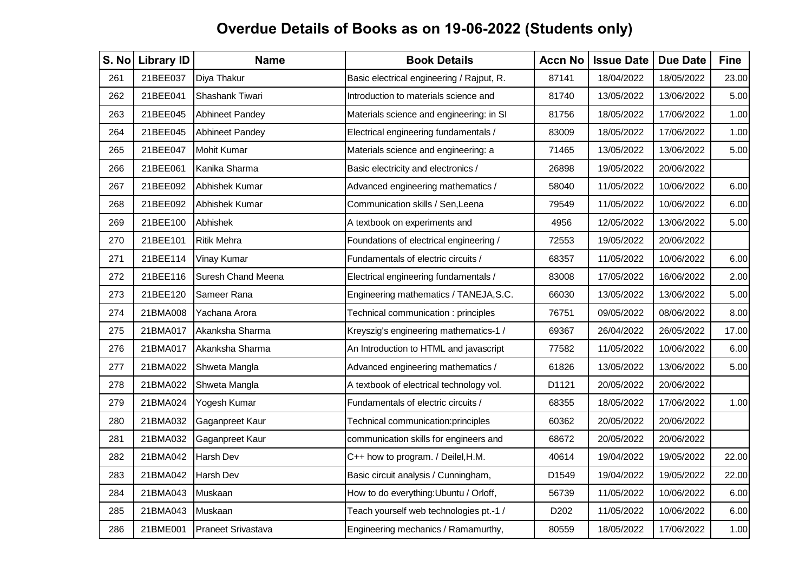| S. No | <b>Library ID</b> | <b>Name</b>               | <b>Book Details</b>                       | <b>Accn No</b> | <b>Issue Date</b> | <b>Due Date</b> | <b>Fine</b> |
|-------|-------------------|---------------------------|-------------------------------------------|----------------|-------------------|-----------------|-------------|
| 261   | 21BEE037          | Diya Thakur               | Basic electrical engineering / Rajput, R. | 87141          | 18/04/2022        | 18/05/2022      | 23.00       |
| 262   | 21BEE041          | Shashank Tiwari           | Introduction to materials science and     | 81740          | 13/05/2022        | 13/06/2022      | 5.00        |
| 263   | 21BEE045          | <b>Abhineet Pandey</b>    | Materials science and engineering: in SI  | 81756          | 18/05/2022        | 17/06/2022      | 1.00        |
| 264   | 21BEE045          | Abhineet Pandey           | Electrical engineering fundamentals /     | 83009          | 18/05/2022        | 17/06/2022      | 1.00        |
| 265   | 21BEE047          | <b>Mohit Kumar</b>        | Materials science and engineering: a      | 71465          | 13/05/2022        | 13/06/2022      | 5.00        |
| 266   | 21BEE061          | Kanika Sharma             | Basic electricity and electronics /       | 26898          | 19/05/2022        | 20/06/2022      |             |
| 267   | 21BEE092          | Abhishek Kumar            | Advanced engineering mathematics /        | 58040          | 11/05/2022        | 10/06/2022      | 6.00        |
| 268   | 21BEE092          | Abhishek Kumar            | Communication skills / Sen, Leena         | 79549          | 11/05/2022        | 10/06/2022      | 6.00        |
| 269   | 21BEE100          | Abhishek                  | A textbook on experiments and             | 4956           | 12/05/2022        | 13/06/2022      | 5.00        |
| 270   | 21BEE101          | <b>Ritik Mehra</b>        | Foundations of electrical engineering /   | 72553          | 19/05/2022        | 20/06/2022      |             |
| 271   | 21BEE114          | Vinay Kumar               | Fundamentals of electric circuits /       | 68357          | 11/05/2022        | 10/06/2022      | 6.00        |
| 272   | 21BEE116          | Suresh Chand Meena        | Electrical engineering fundamentals /     | 83008          | 17/05/2022        | 16/06/2022      | 2.00        |
| 273   | 21BEE120          | Sameer Rana               | Engineering mathematics / TANEJA, S.C.    | 66030          | 13/05/2022        | 13/06/2022      | 5.00        |
| 274   | 21BMA008          | Yachana Arora             | Technical communication: principles       | 76751          | 09/05/2022        | 08/06/2022      | 8.00        |
| 275   | 21BMA017          | Akanksha Sharma           | Kreyszig's engineering mathematics-1 /    | 69367          | 26/04/2022        | 26/05/2022      | 17.00       |
| 276   | 21BMA017          | Akanksha Sharma           | An Introduction to HTML and javascript    | 77582          | 11/05/2022        | 10/06/2022      | 6.00        |
| 277   | 21BMA022          | Shweta Mangla             | Advanced engineering mathematics /        | 61826          | 13/05/2022        | 13/06/2022      | 5.00        |
| 278   | 21BMA022          | Shweta Mangla             | A textbook of electrical technology vol.  | D1121          | 20/05/2022        | 20/06/2022      |             |
| 279   | 21BMA024          | Yogesh Kumar              | Fundamentals of electric circuits /       | 68355          | 18/05/2022        | 17/06/2022      | 1.00        |
| 280   | 21BMA032          | Gaganpreet Kaur           | Technical communication:principles        | 60362          | 20/05/2022        | 20/06/2022      |             |
| 281   | 21BMA032          | Gaganpreet Kaur           | communication skills for engineers and    | 68672          | 20/05/2022        | 20/06/2022      |             |
| 282   | 21BMA042          | <b>Harsh Dev</b>          | C++ how to program. / Deilel, H.M.        | 40614          | 19/04/2022        | 19/05/2022      | 22.00       |
| 283   | 21BMA042          | Harsh Dev                 | Basic circuit analysis / Cunningham,      | D1549          | 19/04/2022        | 19/05/2022      | 22.00       |
| 284   | 21BMA043          | Muskaan                   | How to do everything: Ubuntu / Orloff,    | 56739          | 11/05/2022        | 10/06/2022      | 6.00        |
| 285   | 21BMA043          | Muskaan                   | Teach yourself web technologies pt.-1 /   | D202           | 11/05/2022        | 10/06/2022      | 6.00        |
| 286   | 21BME001          | <b>Praneet Srivastava</b> | Engineering mechanics / Ramamurthy,       | 80559          | 18/05/2022        | 17/06/2022      | 1.00        |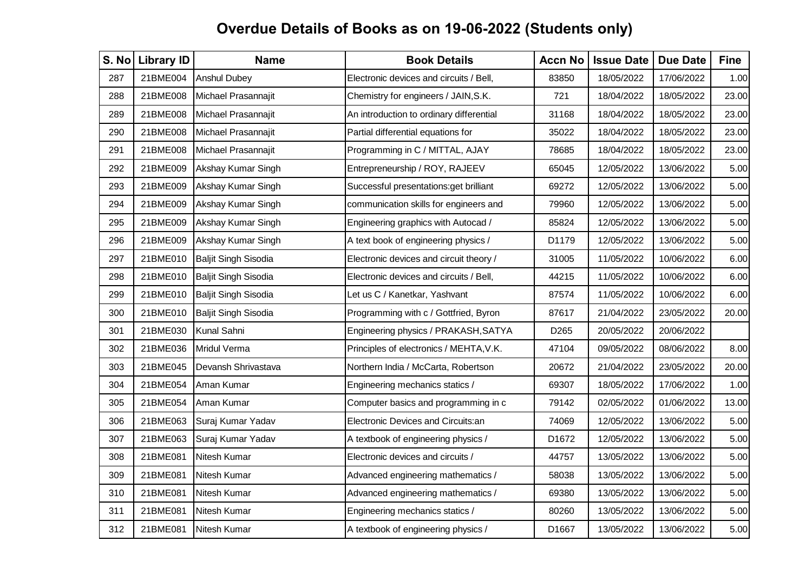| S. No | <b>Library ID</b> | <b>Name</b>                 | <b>Book Details</b>                      | <b>Accn No</b> | <b>Issue Date</b> | <b>Due Date</b> | <b>Fine</b> |
|-------|-------------------|-----------------------------|------------------------------------------|----------------|-------------------|-----------------|-------------|
| 287   | 21BME004          | Anshul Dubey                | Electronic devices and circuits / Bell,  | 83850          | 18/05/2022        | 17/06/2022      | 1.00        |
| 288   | 21BME008          | Michael Prasannajit         | Chemistry for engineers / JAIN, S.K.     | 721            | 18/04/2022        | 18/05/2022      | 23.00       |
| 289   | 21BME008          | Michael Prasannajit         | An introduction to ordinary differential | 31168          | 18/04/2022        | 18/05/2022      | 23.00       |
| 290   | 21BME008          | Michael Prasannajit         | Partial differential equations for       | 35022          | 18/04/2022        | 18/05/2022      | 23.00       |
| 291   | 21BME008          | Michael Prasannajit         | Programming in C / MITTAL, AJAY          | 78685          | 18/04/2022        | 18/05/2022      | 23.00       |
| 292   | 21BME009          | Akshay Kumar Singh          | Entrepreneurship / ROY, RAJEEV           | 65045          | 12/05/2022        | 13/06/2022      | 5.00        |
| 293   | 21BME009          | Akshay Kumar Singh          | Successful presentations: get brilliant  | 69272          | 12/05/2022        | 13/06/2022      | 5.00        |
| 294   | 21BME009          | Akshay Kumar Singh          | communication skills for engineers and   | 79960          | 12/05/2022        | 13/06/2022      | 5.00        |
| 295   | 21BME009          | Akshay Kumar Singh          | Engineering graphics with Autocad /      | 85824          | 12/05/2022        | 13/06/2022      | 5.00        |
| 296   | 21BME009          | Akshay Kumar Singh          | A text book of engineering physics /     | D1179          | 12/05/2022        | 13/06/2022      | 5.00        |
| 297   | 21BME010          | <b>Baljit Singh Sisodia</b> | Electronic devices and circuit theory /  | 31005          | 11/05/2022        | 10/06/2022      | 6.00        |
| 298   | 21BME010          | <b>Baljit Singh Sisodia</b> | Electronic devices and circuits / Bell,  | 44215          | 11/05/2022        | 10/06/2022      | 6.00        |
| 299   | 21BME010          | <b>Baljit Singh Sisodia</b> | Let us C / Kanetkar, Yashvant            | 87574          | 11/05/2022        | 10/06/2022      | 6.00        |
| 300   | 21BME010          | Baljit Singh Sisodia        | Programming with c / Gottfried, Byron    | 87617          | 21/04/2022        | 23/05/2022      | 20.00       |
| 301   | 21BME030          | Kunal Sahni                 | Engineering physics / PRAKASH, SATYA     | D265           | 20/05/2022        | 20/06/2022      |             |
| 302   | 21BME036          | Mridul Verma                | Principles of electronics / MEHTA, V.K.  | 47104          | 09/05/2022        | 08/06/2022      | 8.00        |
| 303   | 21BME045          | Devansh Shrivastava         | Northern India / McCarta, Robertson      | 20672          | 21/04/2022        | 23/05/2022      | 20.00       |
| 304   | 21BME054          | Aman Kumar                  | Engineering mechanics statics /          | 69307          | 18/05/2022        | 17/06/2022      | 1.00        |
| 305   | 21BME054          | Aman Kumar                  | Computer basics and programming in c     | 79142          | 02/05/2022        | 01/06/2022      | 13.00       |
| 306   | 21BME063          | Suraj Kumar Yadav           | Electronic Devices and Circuits:an       | 74069          | 12/05/2022        | 13/06/2022      | 5.00        |
| 307   | 21BME063          | Suraj Kumar Yadav           | A textbook of engineering physics /      | D1672          | 12/05/2022        | 13/06/2022      | 5.00        |
| 308   | 21BME081          | Nitesh Kumar                | Electronic devices and circuits /        | 44757          | 13/05/2022        | 13/06/2022      | 5.00        |
| 309   | 21BME081          | Nitesh Kumar                | Advanced engineering mathematics /       | 58038          | 13/05/2022        | 13/06/2022      | 5.00        |
| 310   | 21BME081          | Nitesh Kumar                | Advanced engineering mathematics /       | 69380          | 13/05/2022        | 13/06/2022      | 5.00        |
| 311   | 21BME081          | Nitesh Kumar                | Engineering mechanics statics /          | 80260          | 13/05/2022        | 13/06/2022      | 5.00        |
| 312   | 21BME081          | Nitesh Kumar                | A textbook of engineering physics /      | D1667          | 13/05/2022        | 13/06/2022      | 5.00        |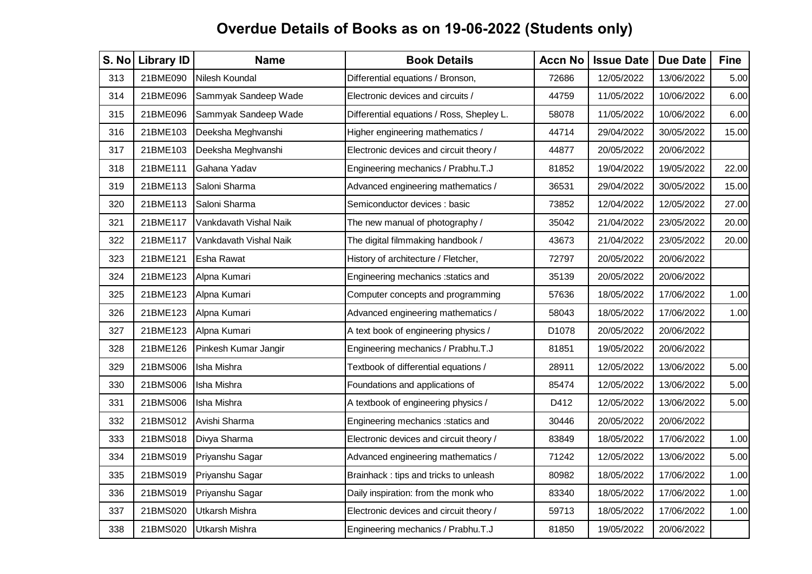| S. No | <b>Library ID</b> | <b>Name</b>            | <b>Book Details</b>                       | <b>Accn No</b> | <b>Issue Date</b> | <b>Due Date</b> | <b>Fine</b> |
|-------|-------------------|------------------------|-------------------------------------------|----------------|-------------------|-----------------|-------------|
| 313   | 21BME090          | Nilesh Koundal         | Differential equations / Bronson,         | 72686          | 12/05/2022        | 13/06/2022      | 5.00        |
| 314   | 21BME096          | Sammyak Sandeep Wade   | Electronic devices and circuits /         | 44759          | 11/05/2022        | 10/06/2022      | 6.00        |
| 315   | 21BME096          | Sammyak Sandeep Wade   | Differential equations / Ross, Shepley L. | 58078          | 11/05/2022        | 10/06/2022      | 6.00        |
| 316   | 21BME103          | Deeksha Meghvanshi     | Higher engineering mathematics /          | 44714          | 29/04/2022        | 30/05/2022      | 15.00       |
| 317   | 21BME103          | Deeksha Meghvanshi     | Electronic devices and circuit theory /   | 44877          | 20/05/2022        | 20/06/2022      |             |
| 318   | 21BME111          | Gahana Yadav           | Engineering mechanics / Prabhu.T.J        | 81852          | 19/04/2022        | 19/05/2022      | 22.00       |
| 319   | 21BME113          | Saloni Sharma          | Advanced engineering mathematics /        | 36531          | 29/04/2022        | 30/05/2022      | 15.00       |
| 320   | 21BME113          | Saloni Sharma          | Semiconductor devices : basic             | 73852          | 12/04/2022        | 12/05/2022      | 27.00       |
| 321   | 21BME117          | Vankdavath Vishal Naik | The new manual of photography /           | 35042          | 21/04/2022        | 23/05/2022      | 20.00       |
| 322   | 21BME117          | Vankdavath Vishal Naik | The digital filmmaking handbook /         | 43673          | 21/04/2022        | 23/05/2022      | 20.00       |
| 323   | 21BME121          | Esha Rawat             | History of architecture / Fletcher,       | 72797          | 20/05/2022        | 20/06/2022      |             |
| 324   | 21BME123          | Alpna Kumari           | Engineering mechanics : statics and       | 35139          | 20/05/2022        | 20/06/2022      |             |
| 325   | 21BME123          | Alpna Kumari           | Computer concepts and programming         | 57636          | 18/05/2022        | 17/06/2022      | 1.00        |
| 326   | 21BME123          | Alpna Kumari           | Advanced engineering mathematics /        | 58043          | 18/05/2022        | 17/06/2022      | 1.00        |
| 327   | 21BME123          | Alpna Kumari           | A text book of engineering physics /      | D1078          | 20/05/2022        | 20/06/2022      |             |
| 328   | 21BME126          | Pinkesh Kumar Jangir   | Engineering mechanics / Prabhu.T.J        | 81851          | 19/05/2022        | 20/06/2022      |             |
| 329   | 21BMS006          | Isha Mishra            | Textbook of differential equations /      | 28911          | 12/05/2022        | 13/06/2022      | 5.00        |
| 330   | 21BMS006          | Isha Mishra            | Foundations and applications of           | 85474          | 12/05/2022        | 13/06/2022      | 5.00        |
| 331   | 21BMS006          | Isha Mishra            | A textbook of engineering physics /       | D412           | 12/05/2022        | 13/06/2022      | 5.00        |
| 332   | 21BMS012          | Avishi Sharma          | Engineering mechanics : statics and       | 30446          | 20/05/2022        | 20/06/2022      |             |
| 333   | 21BMS018          | Divya Sharma           | Electronic devices and circuit theory /   | 83849          | 18/05/2022        | 17/06/2022      | 1.00        |
| 334   | 21BMS019          | Priyanshu Sagar        | Advanced engineering mathematics /        | 71242          | 12/05/2022        | 13/06/2022      | 5.00        |
| 335   | 21BMS019          | Priyanshu Sagar        | Brainhack: tips and tricks to unleash     | 80982          | 18/05/2022        | 17/06/2022      | 1.00        |
| 336   | 21BMS019          | Priyanshu Sagar        | Daily inspiration: from the monk who      | 83340          | 18/05/2022        | 17/06/2022      | 1.00        |
| 337   | 21BMS020          | Utkarsh Mishra         | Electronic devices and circuit theory /   | 59713          | 18/05/2022        | 17/06/2022      | 1.00        |
| 338   | 21BMS020          | Utkarsh Mishra         | Engineering mechanics / Prabhu.T.J        | 81850          | 19/05/2022        | 20/06/2022      |             |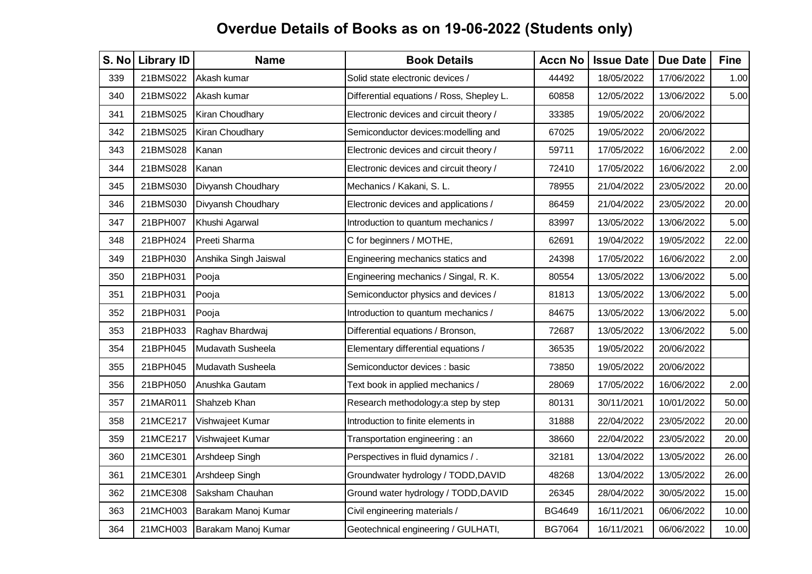| S. No | <b>Library ID</b> | <b>Name</b>           | <b>Book Details</b>                       | <b>Accn No</b> | <b>Issue Date</b> | <b>Due Date</b> | <b>Fine</b> |
|-------|-------------------|-----------------------|-------------------------------------------|----------------|-------------------|-----------------|-------------|
| 339   | 21BMS022          | Akash kumar           | Solid state electronic devices /          | 44492          | 18/05/2022        | 17/06/2022      | 1.00        |
| 340   | 21BMS022          | Akash kumar           | Differential equations / Ross, Shepley L. | 60858          | 12/05/2022        | 13/06/2022      | 5.00        |
| 341   | 21BMS025          | Kiran Choudhary       | Electronic devices and circuit theory /   | 33385          | 19/05/2022        | 20/06/2022      |             |
| 342   | 21BMS025          | Kiran Choudhary       | Semiconductor devices: modelling and      | 67025          | 19/05/2022        | 20/06/2022      |             |
| 343   | 21BMS028          | Kanan                 | Electronic devices and circuit theory /   | 59711          | 17/05/2022        | 16/06/2022      | 2.00        |
| 344   | 21BMS028          | Kanan                 | Electronic devices and circuit theory /   | 72410          | 17/05/2022        | 16/06/2022      | 2.00        |
| 345   | 21BMS030          | Divyansh Choudhary    | Mechanics / Kakani, S. L.                 | 78955          | 21/04/2022        | 23/05/2022      | 20.00       |
| 346   | 21BMS030          | Divyansh Choudhary    | Electronic devices and applications /     | 86459          | 21/04/2022        | 23/05/2022      | 20.00       |
| 347   | 21BPH007          | Khushi Agarwal        | Introduction to quantum mechanics /       | 83997          | 13/05/2022        | 13/06/2022      | 5.00        |
| 348   | 21BPH024          | Preeti Sharma         | C for beginners / MOTHE,                  | 62691          | 19/04/2022        | 19/05/2022      | 22.00       |
| 349   | 21BPH030          | Anshika Singh Jaiswal | Engineering mechanics statics and         | 24398          | 17/05/2022        | 16/06/2022      | 2.00        |
| 350   | 21BPH031          | Pooja                 | Engineering mechanics / Singal, R. K.     | 80554          | 13/05/2022        | 13/06/2022      | 5.00        |
| 351   | 21BPH031          | Pooja                 | Semiconductor physics and devices /       | 81813          | 13/05/2022        | 13/06/2022      | 5.00        |
| 352   | 21BPH031          | Pooja                 | Introduction to quantum mechanics /       | 84675          | 13/05/2022        | 13/06/2022      | 5.00        |
| 353   | 21BPH033          | Raghav Bhardwaj       | Differential equations / Bronson,         | 72687          | 13/05/2022        | 13/06/2022      | 5.00        |
| 354   | 21BPH045          | Mudavath Susheela     | Elementary differential equations /       | 36535          | 19/05/2022        | 20/06/2022      |             |
| 355   | 21BPH045          | Mudavath Susheela     | Semiconductor devices : basic             | 73850          | 19/05/2022        | 20/06/2022      |             |
| 356   | 21BPH050          | Anushka Gautam        | Text book in applied mechanics /          | 28069          | 17/05/2022        | 16/06/2022      | 2.00        |
| 357   | 21MAR011          | Shahzeb Khan          | Research methodology: a step by step      | 80131          | 30/11/2021        | 10/01/2022      | 50.00       |
| 358   | 21MCE217          | Vishwajeet Kumar      | Introduction to finite elements in        | 31888          | 22/04/2022        | 23/05/2022      | 20.00       |
| 359   | 21MCE217          | Vishwajeet Kumar      | Transportation engineering: an            | 38660          | 22/04/2022        | 23/05/2022      | 20.00       |
| 360   | 21MCE301          | Arshdeep Singh        | Perspectives in fluid dynamics / .        | 32181          | 13/04/2022        | 13/05/2022      | 26.00       |
| 361   | 21MCE301          | Arshdeep Singh        | Groundwater hydrology / TODD, DAVID       | 48268          | 13/04/2022        | 13/05/2022      | 26.00       |
| 362   | 21MCE308          | Saksham Chauhan       | Ground water hydrology / TODD, DAVID      | 26345          | 28/04/2022        | 30/05/2022      | 15.00       |
| 363   | 21MCH003          | Barakam Manoj Kumar   | Civil engineering materials /             | <b>BG4649</b>  | 16/11/2021        | 06/06/2022      | 10.00       |
| 364   | 21MCH003          | Barakam Manoj Kumar   | Geotechnical engineering / GULHATI,       | <b>BG7064</b>  | 16/11/2021        | 06/06/2022      | 10.00       |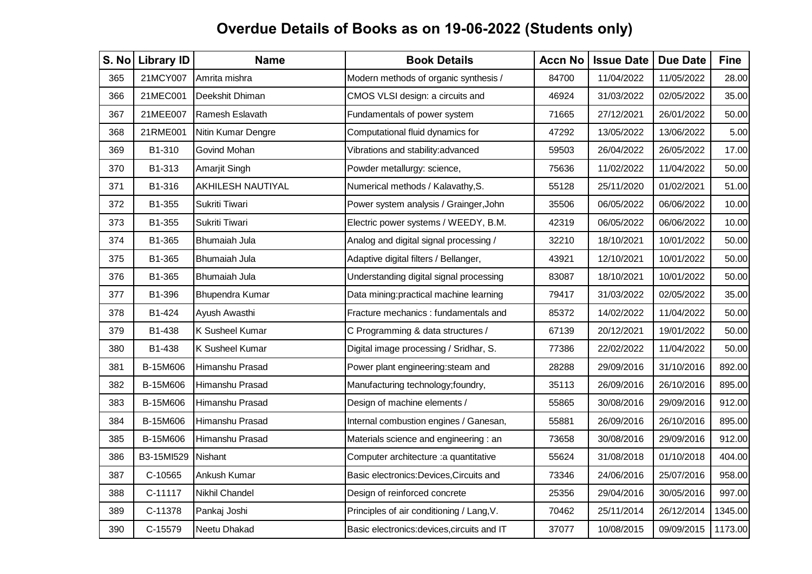| S. No | <b>Library ID</b> | <b>Name</b>              | <b>Book Details</b>                         | <b>Accn No</b> | <b>Issue Date</b> | <b>Due Date</b> | <b>Fine</b> |
|-------|-------------------|--------------------------|---------------------------------------------|----------------|-------------------|-----------------|-------------|
| 365   | 21MCY007          | Amrita mishra            | Modern methods of organic synthesis /       | 84700          | 11/04/2022        | 11/05/2022      | 28.00       |
| 366   | 21MEC001          | Deekshit Dhiman          | CMOS VLSI design: a circuits and            | 46924          | 31/03/2022        | 02/05/2022      | 35.00       |
| 367   | 21MEE007          | Ramesh Eslavath          | Fundamentals of power system                | 71665          | 27/12/2021        | 26/01/2022      | 50.00       |
| 368   | 21RME001          | Nitin Kumar Dengre       | Computational fluid dynamics for            | 47292          | 13/05/2022        | 13/06/2022      | 5.00        |
| 369   | B1-310            | Govind Mohan             | Vibrations and stability:advanced           | 59503          | 26/04/2022        | 26/05/2022      | 17.00       |
| 370   | B1-313            | Amarjit Singh            | Powder metallurgy: science,                 | 75636          | 11/02/2022        | 11/04/2022      | 50.00       |
| 371   | B1-316            | <b>AKHILESH NAUTIYAL</b> | Numerical methods / Kalavathy, S.           | 55128          | 25/11/2020        | 01/02/2021      | 51.00       |
| 372   | B1-355            | Sukriti Tiwari           | Power system analysis / Grainger, John      | 35506          | 06/05/2022        | 06/06/2022      | 10.00       |
| 373   | B1-355            | Sukriti Tiwari           | Electric power systems / WEEDY, B.M.        | 42319          | 06/05/2022        | 06/06/2022      | 10.00       |
| 374   | B1-365            | <b>Bhumaiah Jula</b>     | Analog and digital signal processing /      | 32210          | 18/10/2021        | 10/01/2022      | 50.00       |
| 375   | B1-365            | <b>Bhumaiah Jula</b>     | Adaptive digital filters / Bellanger,       | 43921          | 12/10/2021        | 10/01/2022      | 50.00       |
| 376   | B1-365            | <b>Bhumaiah Jula</b>     | Understanding digital signal processing     | 83087          | 18/10/2021        | 10/01/2022      | 50.00       |
| 377   | B1-396            | Bhupendra Kumar          | Data mining: practical machine learning     | 79417          | 31/03/2022        | 02/05/2022      | 35.00       |
| 378   | B1-424            | Ayush Awasthi            | Fracture mechanics: fundamentals and        | 85372          | 14/02/2022        | 11/04/2022      | 50.00       |
| 379   | B1-438            | <b>K Susheel Kumar</b>   | C Programming & data structures /           | 67139          | 20/12/2021        | 19/01/2022      | 50.00       |
| 380   | B1-438            | K Susheel Kumar          | Digital image processing / Sridhar, S.      | 77386          | 22/02/2022        | 11/04/2022      | 50.00       |
| 381   | B-15M606          | Himanshu Prasad          | Power plant engineering: steam and          | 28288          | 29/09/2016        | 31/10/2016      | 892.00      |
| 382   | B-15M606          | Himanshu Prasad          | Manufacturing technology; foundry,          | 35113          | 26/09/2016        | 26/10/2016      | 895.00      |
| 383   | B-15M606          | Himanshu Prasad          | Design of machine elements /                | 55865          | 30/08/2016        | 29/09/2016      | 912.00      |
| 384   | B-15M606          | Himanshu Prasad          | Internal combustion engines / Ganesan,      | 55881          | 26/09/2016        | 26/10/2016      | 895.00      |
| 385   | B-15M606          | Himanshu Prasad          | Materials science and engineering : an      | 73658          | 30/08/2016        | 29/09/2016      | 912.00      |
| 386   | B3-15MI529        | Nishant                  | Computer architecture : a quantitative      | 55624          | 31/08/2018        | 01/10/2018      | 404.00      |
| 387   | C-10565           | Ankush Kumar             | Basic electronics: Devices, Circuits and    | 73346          | 24/06/2016        | 25/07/2016      | 958.00      |
| 388   | C-11117           | Nikhil Chandel           | Design of reinforced concrete               | 25356          | 29/04/2016        | 30/05/2016      | 997.00      |
| 389   | C-11378           | Pankaj Joshi             | Principles of air conditioning / Lang, V.   | 70462          | 25/11/2014        | 26/12/2014      | 1345.00     |
| 390   | C-15579           | Neetu Dhakad             | Basic electronics: devices, circuits and IT | 37077          | 10/08/2015        | 09/09/2015      | 1173.00     |